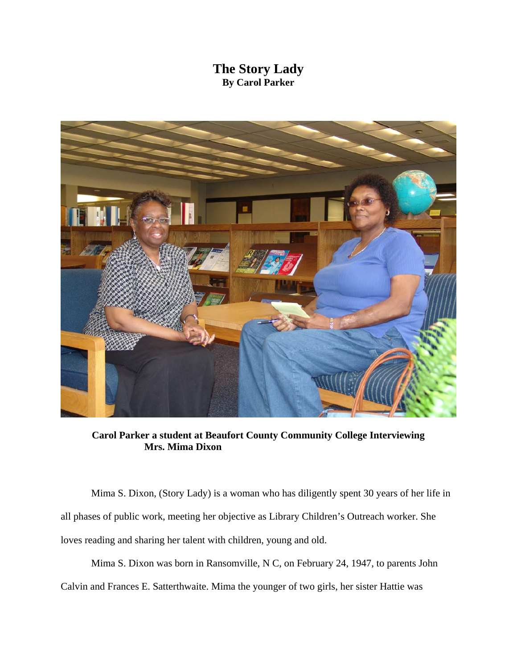## **The Story Lady By Carol Parker**



**Carol Parker a student at Beaufort County Community College Interviewing Mrs. Mima Dixon** 

 Mima S. Dixon, (Story Lady) is a woman who has diligently spent 30 years of her life in all phases of public work, meeting her objective as Library Children's Outreach worker. She loves reading and sharing her talent with children, young and old.

Mima S. Dixon was born in Ransomville, N C, on February 24, 1947, to parents John

Calvin and Frances E. Satterthwaite. Mima the younger of two girls, her sister Hattie was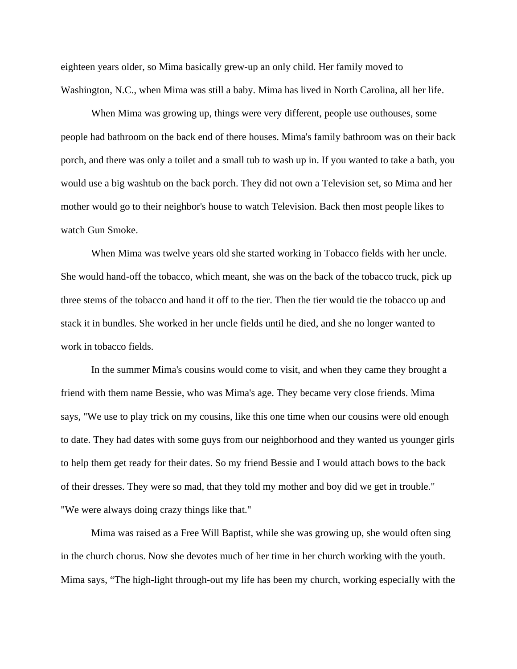eighteen years older, so Mima basically grew-up an only child. Her family moved to Washington, N.C., when Mima was still a baby. Mima has lived in North Carolina, all her life.

When Mima was growing up, things were very different, people use outhouses, some people had bathroom on the back end of there houses. Mima's family bathroom was on their back porch, and there was only a toilet and a small tub to wash up in. If you wanted to take a bath, you would use a big washtub on the back porch. They did not own a Television set, so Mima and her mother would go to their neighbor's house to watch Television. Back then most people likes to watch Gun Smoke.

When Mima was twelve years old she started working in Tobacco fields with her uncle. She would hand-off the tobacco, which meant, she was on the back of the tobacco truck, pick up three stems of the tobacco and hand it off to the tier. Then the tier would tie the tobacco up and stack it in bundles. She worked in her uncle fields until he died, and she no longer wanted to work in tobacco fields.

In the summer Mima's cousins would come to visit, and when they came they brought a friend with them name Bessie, who was Mima's age. They became very close friends. Mima says, "We use to play trick on my cousins, like this one time when our cousins were old enough to date. They had dates with some guys from our neighborhood and they wanted us younger girls to help them get ready for their dates. So my friend Bessie and I would attach bows to the back of their dresses. They were so mad, that they told my mother and boy did we get in trouble." "We were always doing crazy things like that."

 Mima was raised as a Free Will Baptist, while she was growing up, she would often sing in the church chorus. Now she devotes much of her time in her church working with the youth. Mima says, "The high-light through-out my life has been my church, working especially with the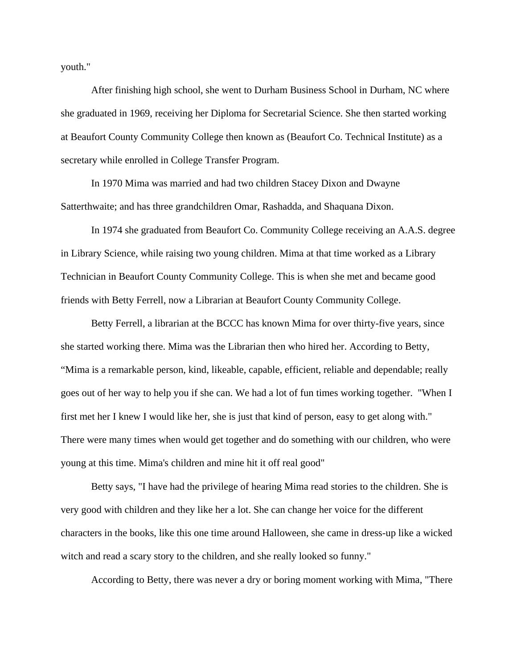youth."

 After finishing high school, she went to Durham Business School in Durham, NC where she graduated in 1969, receiving her Diploma for Secretarial Science. She then started working at Beaufort County Community College then known as (Beaufort Co. Technical Institute) as a secretary while enrolled in College Transfer Program.

 In 1970 Mima was married and had two children Stacey Dixon and Dwayne Satterthwaite; and has three grandchildren Omar, Rashadda, and Shaquana Dixon.

In 1974 she graduated from Beaufort Co. Community College receiving an A.A.S. degree in Library Science, while raising two young children. Mima at that time worked as a Library Technician in Beaufort County Community College. This is when she met and became good friends with Betty Ferrell, now a Librarian at Beaufort County Community College.

 Betty Ferrell, a librarian at the BCCC has known Mima for over thirty-five years, since she started working there. Mima was the Librarian then who hired her. According to Betty, "Mima is a remarkable person, kind, likeable, capable, efficient, reliable and dependable; really goes out of her way to help you if she can. We had a lot of fun times working together. "When I first met her I knew I would like her, she is just that kind of person, easy to get along with." There were many times when would get together and do something with our children, who were young at this time. Mima's children and mine hit it off real good"

 Betty says, "I have had the privilege of hearing Mima read stories to the children. She is very good with children and they like her a lot. She can change her voice for the different characters in the books, like this one time around Halloween, she came in dress-up like a wicked witch and read a scary story to the children, and she really looked so funny."

According to Betty, there was never a dry or boring moment working with Mima, "There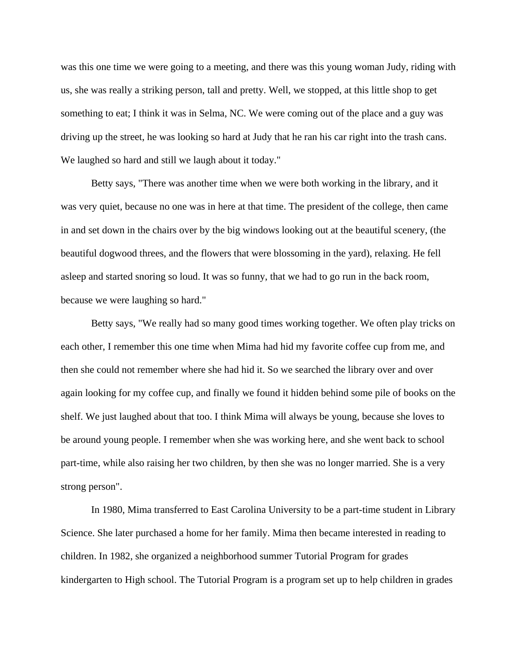was this one time we were going to a meeting, and there was this young woman Judy, riding with us, she was really a striking person, tall and pretty. Well, we stopped, at this little shop to get something to eat; I think it was in Selma, NC. We were coming out of the place and a guy was driving up the street, he was looking so hard at Judy that he ran his car right into the trash cans. We laughed so hard and still we laugh about it today."

 Betty says, "There was another time when we were both working in the library, and it was very quiet, because no one was in here at that time. The president of the college, then came in and set down in the chairs over by the big windows looking out at the beautiful scenery, (the beautiful dogwood threes, and the flowers that were blossoming in the yard), relaxing. He fell asleep and started snoring so loud. It was so funny, that we had to go run in the back room, because we were laughing so hard."

 Betty says, "We really had so many good times working together. We often play tricks on each other, I remember this one time when Mima had hid my favorite coffee cup from me, and then she could not remember where she had hid it. So we searched the library over and over again looking for my coffee cup, and finally we found it hidden behind some pile of books on the shelf. We just laughed about that too. I think Mima will always be young, because she loves to be around young people. I remember when she was working here, and she went back to school part-time, while also raising her two children, by then she was no longer married. She is a very strong person".

 In 1980, Mima transferred to East Carolina University to be a part-time student in Library Science. She later purchased a home for her family. Mima then became interested in reading to children. In 1982, she organized a neighborhood summer Tutorial Program for grades kindergarten to High school. The Tutorial Program is a program set up to help children in grades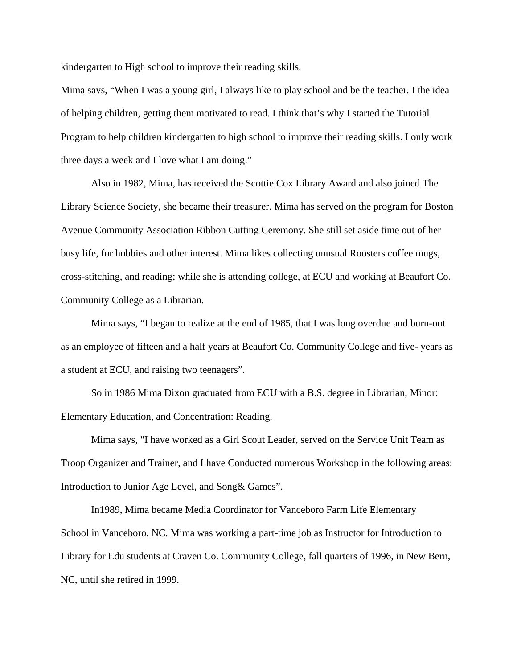kindergarten to High school to improve their reading skills.

Mima says, "When I was a young girl, I always like to play school and be the teacher. I the idea of helping children, getting them motivated to read. I think that's why I started the Tutorial Program to help children kindergarten to high school to improve their reading skills. I only work three days a week and I love what I am doing."

 Also in 1982, Mima, has received the Scottie Cox Library Award and also joined The Library Science Society, she became their treasurer. Mima has served on the program for Boston Avenue Community Association Ribbon Cutting Ceremony. She still set aside time out of her busy life, for hobbies and other interest. Mima likes collecting unusual Roosters coffee mugs, cross-stitching, and reading; while she is attending college, at ECU and working at Beaufort Co. Community College as a Librarian.

 Mima says, "I began to realize at the end of 1985, that I was long overdue and burn-out as an employee of fifteen and a half years at Beaufort Co. Community College and five- years as a student at ECU, and raising two teenagers".

 So in 1986 Mima Dixon graduated from ECU with a B.S. degree in Librarian, Minor: Elementary Education, and Concentration: Reading.

 Mima says, "I have worked as a Girl Scout Leader, served on the Service Unit Team as Troop Organizer and Trainer, and I have Conducted numerous Workshop in the following areas: Introduction to Junior Age Level, and Song& Games".

 In1989, Mima became Media Coordinator for Vanceboro Farm Life Elementary School in Vanceboro, NC. Mima was working a part-time job as Instructor for Introduction to Library for Edu students at Craven Co. Community College, fall quarters of 1996, in New Bern, NC, until she retired in 1999.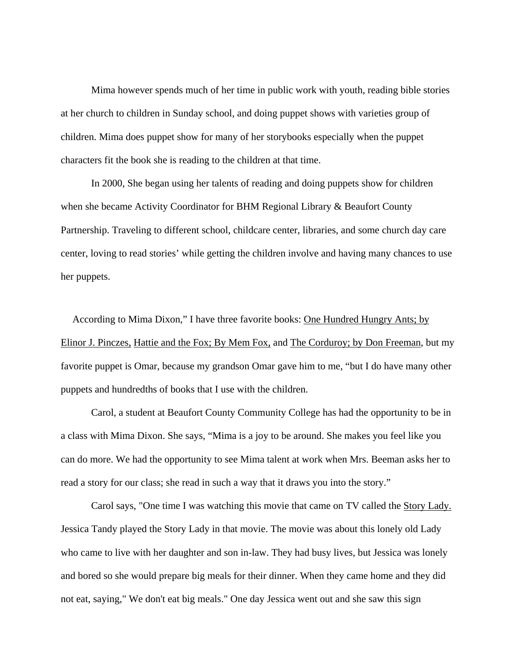Mima however spends much of her time in public work with youth, reading bible stories at her church to children in Sunday school, and doing puppet shows with varieties group of children. Mima does puppet show for many of her storybooks especially when the puppet characters fit the book she is reading to the children at that time.

In 2000, She began using her talents of reading and doing puppets show for children when she became Activity Coordinator for BHM Regional Library & Beaufort County Partnership. Traveling to different school, childcare center, libraries, and some church day care center, loving to read stories' while getting the children involve and having many chances to use her puppets.

 According to Mima Dixon," I have three favorite books: One Hundred Hungry Ants; by Elinor J. Pinczes, Hattie and the Fox; By Mem Fox, and The Corduroy; by Don Freeman, but my favorite puppet is Omar, because my grandson Omar gave him to me, "but I do have many other puppets and hundredths of books that I use with the children.

 Carol, a student at Beaufort County Community College has had the opportunity to be in a class with Mima Dixon. She says, "Mima is a joy to be around. She makes you feel like you can do more. We had the opportunity to see Mima talent at work when Mrs. Beeman asks her to read a story for our class; she read in such a way that it draws you into the story."

 Carol says, "One time I was watching this movie that came on TV called the Story Lady. Jessica Tandy played the Story Lady in that movie. The movie was about this lonely old Lady who came to live with her daughter and son in-law. They had busy lives, but Jessica was lonely and bored so she would prepare big meals for their dinner. When they came home and they did not eat, saying," We don't eat big meals." One day Jessica went out and she saw this sign